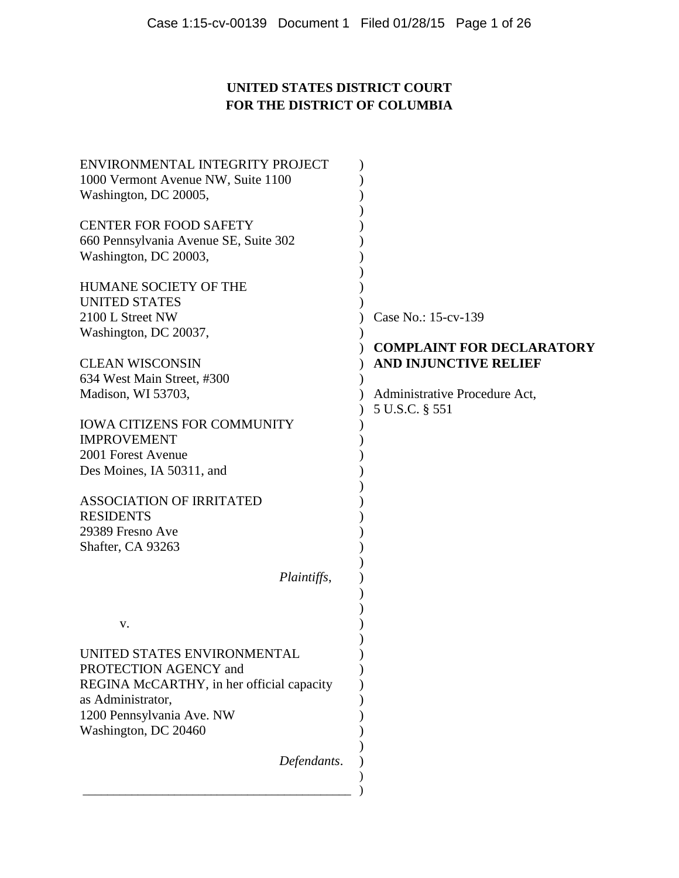# **UNITED STATES DISTRICT COURT FOR THE DISTRICT OF COLUMBIA**

| ENVIRONMENTAL INTEGRITY PROJECT           |                                  |
|-------------------------------------------|----------------------------------|
| 1000 Vermont Avenue NW, Suite 1100        |                                  |
| Washington, DC 20005,                     |                                  |
| <b>CENTER FOR FOOD SAFETY</b>             |                                  |
| 660 Pennsylvania Avenue SE, Suite 302     |                                  |
| Washington, DC 20003,                     |                                  |
| HUMANE SOCIETY OF THE                     |                                  |
| <b>UNITED STATES</b>                      |                                  |
| 2100 L Street NW                          | Case No.: 15-cv-139              |
| Washington, DC 20037,                     |                                  |
|                                           | <b>COMPLAINT FOR DECLARATORY</b> |
| <b>CLEAN WISCONSIN</b>                    | <b>AND INJUNCTIVE RELIEF</b>     |
| 634 West Main Street, #300                |                                  |
| Madison, WI 53703,                        | Administrative Procedure Act,    |
|                                           | 5 U.S.C. § 551                   |
| <b>IOWA CITIZENS FOR COMMUNITY</b>        |                                  |
| <b>IMPROVEMENT</b>                        |                                  |
| 2001 Forest Avenue                        |                                  |
| Des Moines, IA 50311, and                 |                                  |
|                                           |                                  |
| <b>ASSOCIATION OF IRRITATED</b>           |                                  |
| <b>RESIDENTS</b>                          |                                  |
| 29389 Fresno Ave                          |                                  |
| Shafter, CA 93263                         |                                  |
|                                           |                                  |
| Plaintiffs,                               |                                  |
|                                           |                                  |
| v.                                        |                                  |
| UNITED STATES ENVIRONMENTAL               |                                  |
| PROTECTION AGENCY and                     |                                  |
| REGINA McCARTHY, in her official capacity |                                  |
| as Administrator,                         |                                  |
| 1200 Pennsylvania Ave. NW                 |                                  |
| Washington, DC 20460                      |                                  |
|                                           |                                  |
| Defendants.                               |                                  |
|                                           |                                  |
|                                           |                                  |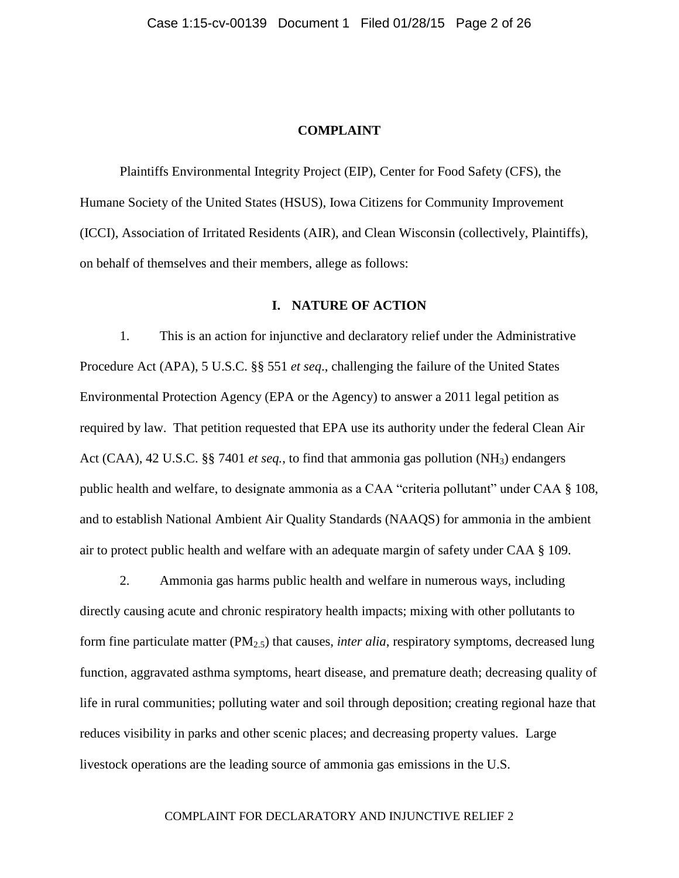### **COMPLAINT**

Plaintiffs Environmental Integrity Project (EIP), Center for Food Safety (CFS), the Humane Society of the United States (HSUS), Iowa Citizens for Community Improvement (ICCI), Association of Irritated Residents (AIR), and Clean Wisconsin (collectively, Plaintiffs), on behalf of themselves and their members, allege as follows:

# **I. NATURE OF ACTION**

1. This is an action for injunctive and declaratory relief under the Administrative Procedure Act (APA), 5 U.S.C. §§ 551 *et seq*., challenging the failure of the United States Environmental Protection Agency (EPA or the Agency) to answer a 2011 legal petition as required by law. That petition requested that EPA use its authority under the federal Clean Air Act (CAA), 42 U.S.C. §§ 7401 *et seq.*, to find that ammonia gas pollution (NH3) endangers public health and welfare, to designate ammonia as a CAA "criteria pollutant" under CAA § 108, and to establish National Ambient Air Quality Standards (NAAQS) for ammonia in the ambient air to protect public health and welfare with an adequate margin of safety under CAA § 109.

2. Ammonia gas harms public health and welfare in numerous ways, including directly causing acute and chronic respiratory health impacts; mixing with other pollutants to form fine particulate matter (PM2.5) that causes, *inter alia*, respiratory symptoms, decreased lung function, aggravated asthma symptoms, heart disease, and premature death; decreasing quality of life in rural communities; polluting water and soil through deposition; creating regional haze that reduces visibility in parks and other scenic places; and decreasing property values. Large livestock operations are the leading source of ammonia gas emissions in the U.S.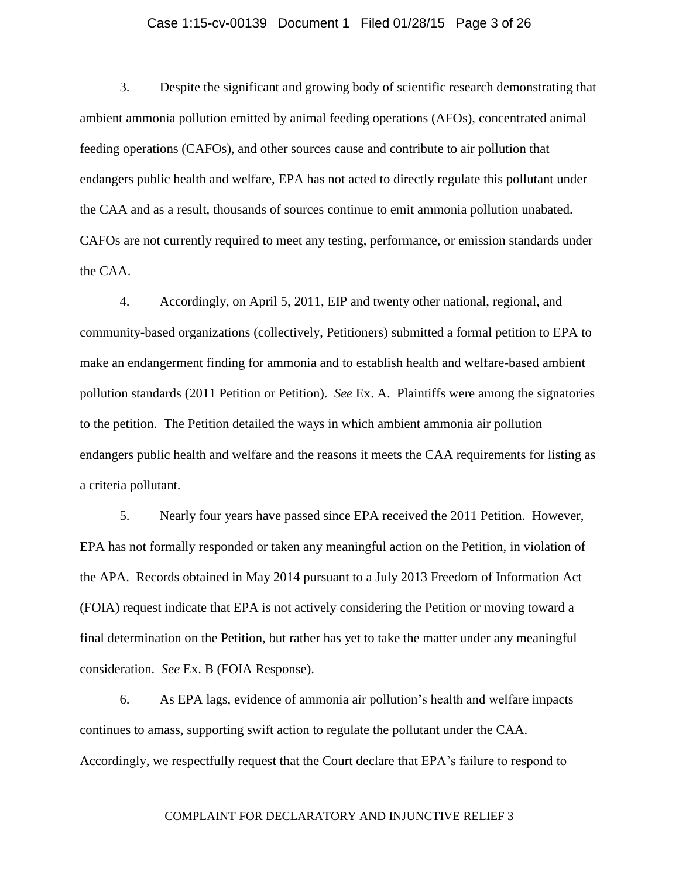## Case 1:15-cv-00139 Document 1 Filed 01/28/15 Page 3 of 26

3. Despite the significant and growing body of scientific research demonstrating that ambient ammonia pollution emitted by animal feeding operations (AFOs), concentrated animal feeding operations (CAFOs), and other sources cause and contribute to air pollution that endangers public health and welfare, EPA has not acted to directly regulate this pollutant under the CAA and as a result, thousands of sources continue to emit ammonia pollution unabated. CAFOs are not currently required to meet any testing, performance, or emission standards under the CAA.

4. Accordingly, on April 5, 2011, EIP and twenty other national, regional, and community-based organizations (collectively, Petitioners) submitted a formal petition to EPA to make an endangerment finding for ammonia and to establish health and welfare-based ambient pollution standards (2011 Petition or Petition). *See* Ex. A. Plaintiffs were among the signatories to the petition. The Petition detailed the ways in which ambient ammonia air pollution endangers public health and welfare and the reasons it meets the CAA requirements for listing as a criteria pollutant.

5. Nearly four years have passed since EPA received the 2011 Petition. However, EPA has not formally responded or taken any meaningful action on the Petition, in violation of the APA. Records obtained in May 2014 pursuant to a July 2013 Freedom of Information Act (FOIA) request indicate that EPA is not actively considering the Petition or moving toward a final determination on the Petition, but rather has yet to take the matter under any meaningful consideration. *See* Ex. B (FOIA Response).

6. As EPA lags, evidence of ammonia air pollution's health and welfare impacts continues to amass, supporting swift action to regulate the pollutant under the CAA. Accordingly, we respectfully request that the Court declare that EPA's failure to respond to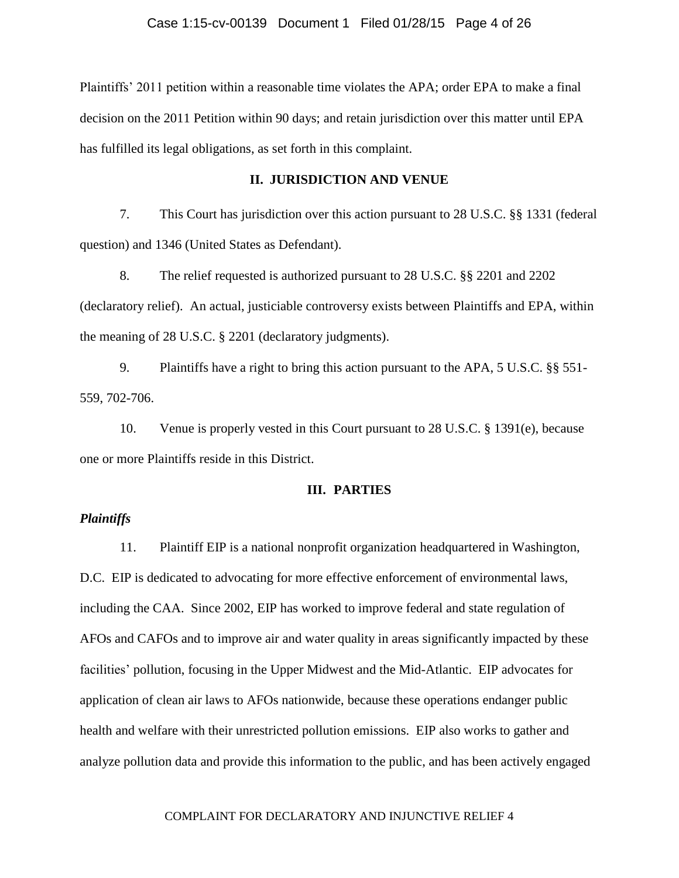Plaintiffs' 2011 petition within a reasonable time violates the APA; order EPA to make a final decision on the 2011 Petition within 90 days; and retain jurisdiction over this matter until EPA has fulfilled its legal obligations, as set forth in this complaint.

# **II. JURISDICTION AND VENUE**

7. This Court has jurisdiction over this action pursuant to 28 U.S.C. §§ 1331 (federal question) and 1346 (United States as Defendant).

8. The relief requested is authorized pursuant to 28 U.S.C. §§ 2201 and 2202 (declaratory relief). An actual, justiciable controversy exists between Plaintiffs and EPA, within the meaning of 28 U.S.C. § 2201 (declaratory judgments).

9. Plaintiffs have a right to bring this action pursuant to the APA, 5 U.S.C. §§ 551- 559, 702-706.

10. Venue is properly vested in this Court pursuant to 28 U.S.C. § 1391(e), because one or more Plaintiffs reside in this District.

## **III. PARTIES**

# *Plaintiffs*

11. Plaintiff EIP is a national nonprofit organization headquartered in Washington, D.C. EIP is dedicated to advocating for more effective enforcement of environmental laws, including the CAA. Since 2002, EIP has worked to improve federal and state regulation of AFOs and CAFOs and to improve air and water quality in areas significantly impacted by these facilities' pollution, focusing in the Upper Midwest and the Mid-Atlantic. EIP advocates for application of clean air laws to AFOs nationwide, because these operations endanger public health and welfare with their unrestricted pollution emissions. EIP also works to gather and analyze pollution data and provide this information to the public, and has been actively engaged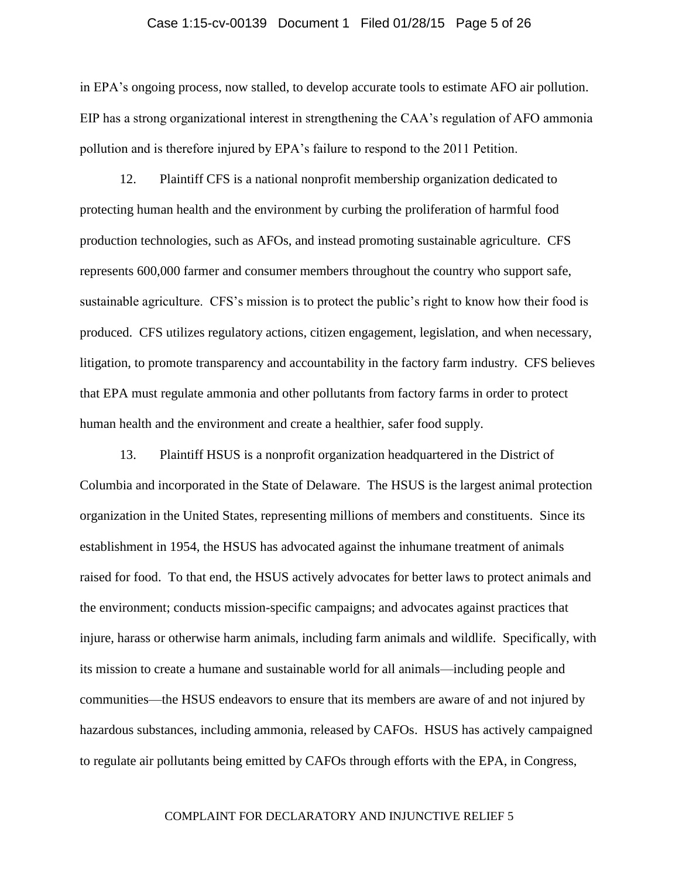## Case 1:15-cv-00139 Document 1 Filed 01/28/15 Page 5 of 26

in EPA's ongoing process, now stalled, to develop accurate tools to estimate AFO air pollution. EIP has a strong organizational interest in strengthening the CAA's regulation of AFO ammonia pollution and is therefore injured by EPA's failure to respond to the 2011 Petition.

12. Plaintiff CFS is a national nonprofit membership organization dedicated to protecting human health and the environment by curbing the proliferation of harmful food production technologies, such as AFOs, and instead promoting sustainable agriculture. CFS represents 600,000 farmer and consumer members throughout the country who support safe, sustainable agriculture. CFS's mission is to protect the public's right to know how their food is produced. CFS utilizes regulatory actions, citizen engagement, legislation, and when necessary, litigation, to promote transparency and accountability in the factory farm industry. CFS believes that EPA must regulate ammonia and other pollutants from factory farms in order to protect human health and the environment and create a healthier, safer food supply.

13. Plaintiff HSUS is a nonprofit organization headquartered in the District of Columbia and incorporated in the State of Delaware. The HSUS is the largest animal protection organization in the United States, representing millions of members and constituents. Since its establishment in 1954, the HSUS has advocated against the inhumane treatment of animals raised for food. To that end, the HSUS actively advocates for better laws to protect animals and the environment; conducts mission-specific campaigns; and advocates against practices that injure, harass or otherwise harm animals, including farm animals and wildlife. Specifically, with its mission to create a humane and sustainable world for all animals—including people and communities—the HSUS endeavors to ensure that its members are aware of and not injured by hazardous substances, including ammonia, released by CAFOs. HSUS has actively campaigned to regulate air pollutants being emitted by CAFOs through efforts with the EPA, in Congress,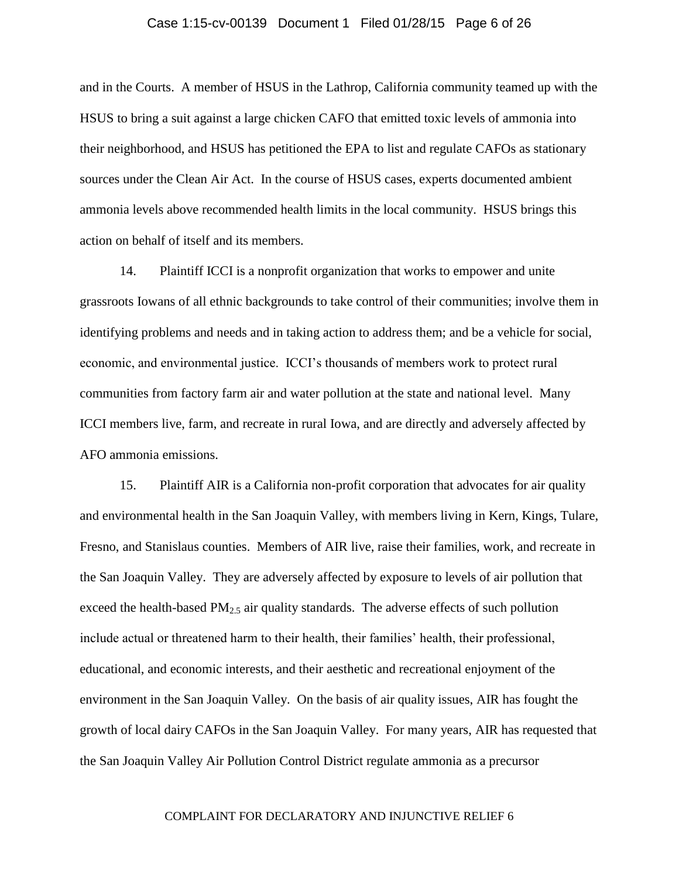## Case 1:15-cv-00139 Document 1 Filed 01/28/15 Page 6 of 26

and in the Courts. A member of HSUS in the Lathrop, California community teamed up with the HSUS to bring a suit against a large chicken CAFO that emitted toxic levels of ammonia into their neighborhood, and HSUS has petitioned the EPA to list and regulate CAFOs as stationary sources under the Clean Air Act. In the course of HSUS cases, experts documented ambient ammonia levels above recommended health limits in the local community. HSUS brings this action on behalf of itself and its members.

14. Plaintiff ICCI is a nonprofit organization that works to empower and unite grassroots Iowans of all ethnic backgrounds to take control of their communities; involve them in identifying problems and needs and in taking action to address them; and be a vehicle for social, economic, and environmental justice. ICCI's thousands of members work to protect rural communities from factory farm air and water pollution at the state and national level. Many ICCI members live, farm, and recreate in rural Iowa, and are directly and adversely affected by AFO ammonia emissions.

15. Plaintiff AIR is a California non-profit corporation that advocates for air quality and environmental health in the San Joaquin Valley, with members living in Kern, Kings, Tulare, Fresno, and Stanislaus counties. Members of AIR live, raise their families, work, and recreate in the San Joaquin Valley. They are adversely affected by exposure to levels of air pollution that exceed the health-based  $PM_{2,5}$  air quality standards. The adverse effects of such pollution include actual or threatened harm to their health, their families' health, their professional, educational, and economic interests, and their aesthetic and recreational enjoyment of the environment in the San Joaquin Valley. On the basis of air quality issues, AIR has fought the growth of local dairy CAFOs in the San Joaquin Valley. For many years, AIR has requested that the San Joaquin Valley Air Pollution Control District regulate ammonia as a precursor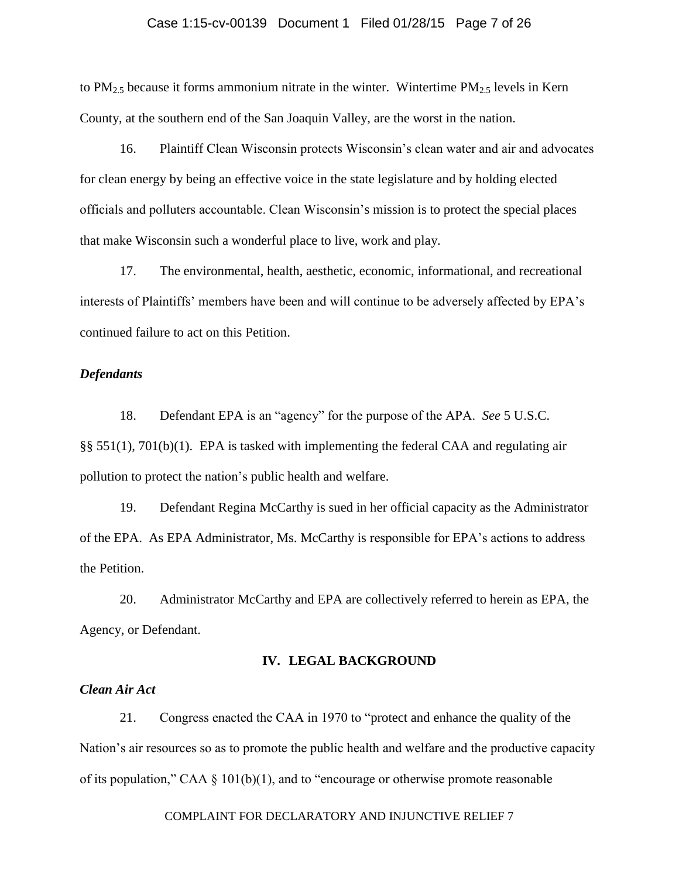## Case 1:15-cv-00139 Document 1 Filed 01/28/15 Page 7 of 26

to  $PM_{2.5}$  because it forms ammonium nitrate in the winter. Wintertime  $PM_{2.5}$  levels in Kern County, at the southern end of the San Joaquin Valley, are the worst in the nation.

16. Plaintiff Clean Wisconsin protects Wisconsin's clean water and air and advocates for clean energy by being an effective voice in the state legislature and by holding elected officials and polluters accountable. Clean Wisconsin's mission is to protect the special places that make Wisconsin such a wonderful place to live, work and play.

17. The environmental, health, aesthetic, economic, informational, and recreational interests of Plaintiffs' members have been and will continue to be adversely affected by EPA's continued failure to act on this Petition.

# *Defendants*

18. Defendant EPA is an "agency" for the purpose of the APA. *See* 5 U.S.C. §§ 551(1), 701(b)(1). EPA is tasked with implementing the federal CAA and regulating air pollution to protect the nation's public health and welfare.

19. Defendant Regina McCarthy is sued in her official capacity as the Administrator of the EPA. As EPA Administrator, Ms. McCarthy is responsible for EPA's actions to address the Petition.

20. Administrator McCarthy and EPA are collectively referred to herein as EPA, the Agency, or Defendant.

# **IV. LEGAL BACKGROUND**

# *Clean Air Act*

21. Congress enacted the CAA in 1970 to "protect and enhance the quality of the Nation's air resources so as to promote the public health and welfare and the productive capacity of its population," CAA § 101(b)(1), and to "encourage or otherwise promote reasonable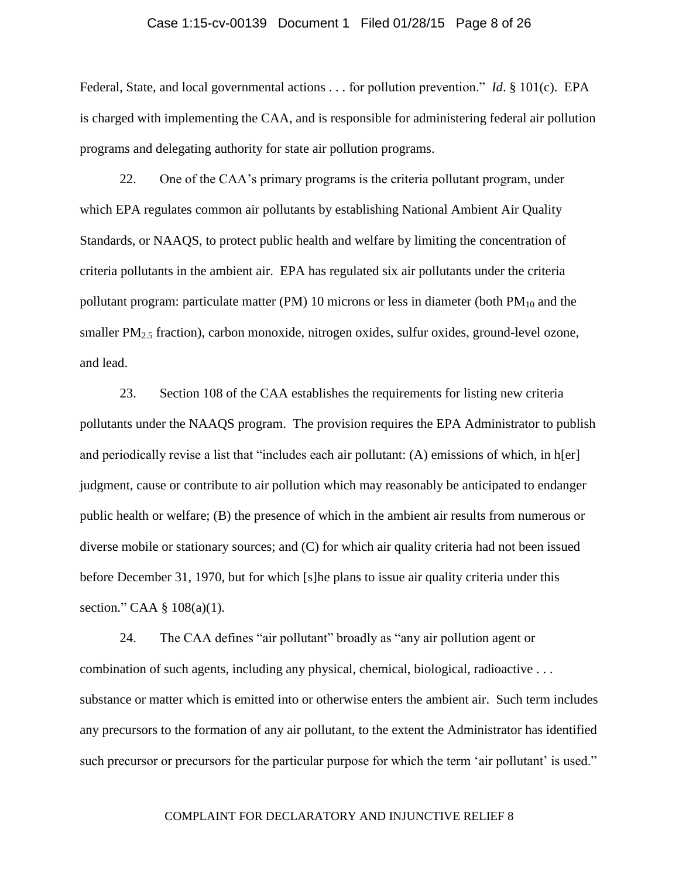## Case 1:15-cv-00139 Document 1 Filed 01/28/15 Page 8 of 26

Federal, State, and local governmental actions . . . for pollution prevention." *Id*. § 101(c). EPA is charged with implementing the CAA, and is responsible for administering federal air pollution programs and delegating authority for state air pollution programs.

22. One of the CAA's primary programs is the criteria pollutant program, under which EPA regulates common air pollutants by establishing National Ambient Air Quality Standards, or NAAQS, to protect public health and welfare by limiting the concentration of criteria pollutants in the ambient air. EPA has regulated six air pollutants under the criteria pollutant program: particulate matter (PM) 10 microns or less in diameter (both  $PM_{10}$  and the smaller  $PM_{2.5}$  fraction), carbon monoxide, nitrogen oxides, sulfur oxides, ground-level ozone, and lead.

23. Section 108 of the CAA establishes the requirements for listing new criteria pollutants under the NAAQS program. The provision requires the EPA Administrator to publish and periodically revise a list that "includes each air pollutant: (A) emissions of which, in h[er] judgment, cause or contribute to air pollution which may reasonably be anticipated to endanger public health or welfare; (B) the presence of which in the ambient air results from numerous or diverse mobile or stationary sources; and (C) for which air quality criteria had not been issued before December 31, 1970, but for which [s]he plans to issue air quality criteria under this section." CAA § 108(a)(1).

24. The CAA defines "air pollutant" broadly as "any air pollution agent or combination of such agents, including any physical, chemical, biological, radioactive . . . substance or matter which is emitted into or otherwise enters the ambient air. Such term includes any precursors to the formation of any air pollutant, to the extent the Administrator has identified such precursor or precursors for the particular purpose for which the term 'air pollutant' is used."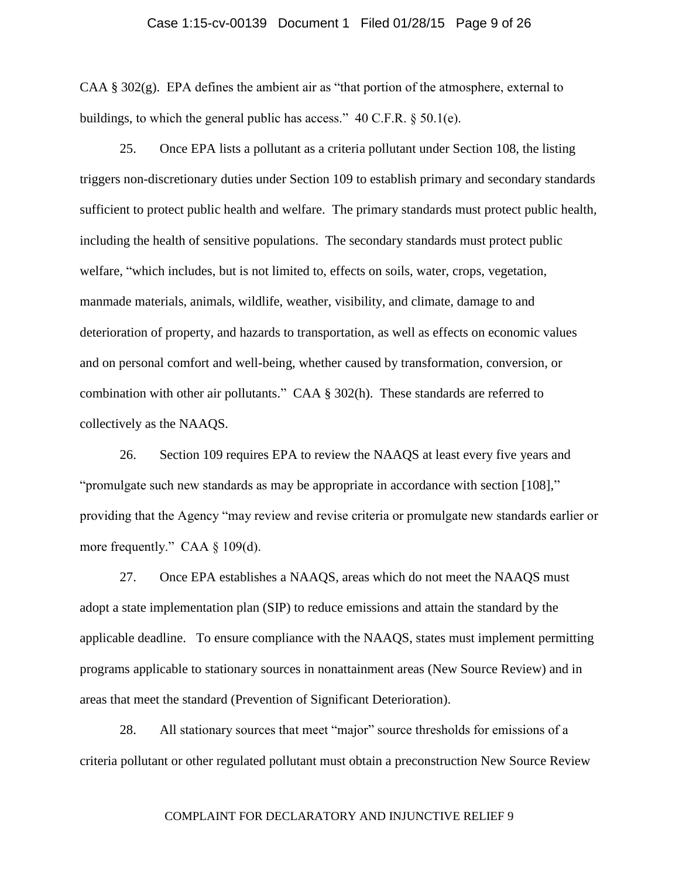## Case 1:15-cv-00139 Document 1 Filed 01/28/15 Page 9 of 26

CAA  $\S$  302(g). EPA defines the ambient air as "that portion of the atmosphere, external to buildings, to which the general public has access." 40 C.F.R. § 50.1(e).

25. Once EPA lists a pollutant as a criteria pollutant under Section 108, the listing triggers non-discretionary duties under Section 109 to establish primary and secondary standards sufficient to protect public health and welfare. The primary standards must protect public health, including the health of sensitive populations. The secondary standards must protect public welfare, "which includes, but is not limited to, effects on soils, water, crops, vegetation, manmade materials, animals, wildlife, weather, visibility, and climate, damage to and deterioration of property, and hazards to transportation, as well as effects on economic values and on personal comfort and well-being, whether caused by transformation, conversion, or combination with other air pollutants." CAA § 302(h). These standards are referred to collectively as the NAAQS.

26. Section 109 requires EPA to review the NAAQS at least every five years and "promulgate such new standards as may be appropriate in accordance with section [108]," providing that the Agency "may review and revise criteria or promulgate new standards earlier or more frequently." CAA § 109(d).

27. Once EPA establishes a NAAQS, areas which do not meet the NAAQS must adopt a state implementation plan (SIP) to reduce emissions and attain the standard by the applicable deadline. To ensure compliance with the NAAQS, states must implement permitting programs applicable to stationary sources in nonattainment areas (New Source Review) and in areas that meet the standard (Prevention of Significant Deterioration).

28. All stationary sources that meet "major" source thresholds for emissions of a criteria pollutant or other regulated pollutant must obtain a preconstruction New Source Review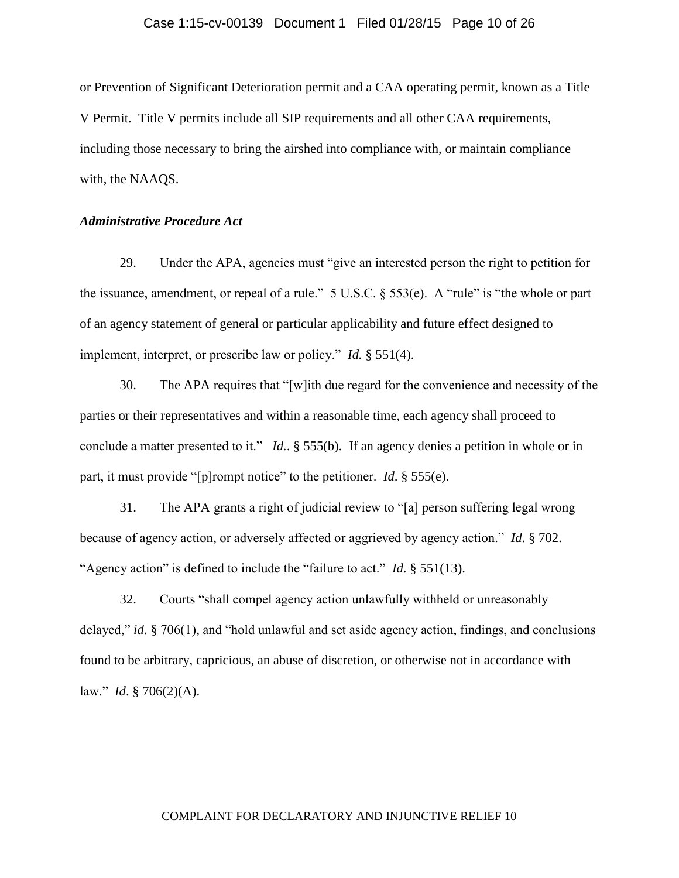## Case 1:15-cv-00139 Document 1 Filed 01/28/15 Page 10 of 26

or Prevention of Significant Deterioration permit and a CAA operating permit, known as a Title V Permit. Title V permits include all SIP requirements and all other CAA requirements, including those necessary to bring the airshed into compliance with, or maintain compliance with, the NAAQS.

# *Administrative Procedure Act*

29. Under the APA, agencies must "give an interested person the right to petition for the issuance, amendment, or repeal of a rule." 5 U.S.C. § 553(e). A "rule" is "the whole or part of an agency statement of general or particular applicability and future effect designed to implement, interpret, or prescribe law or policy." *Id.* § 551(4).

30. The APA requires that "[w]ith due regard for the convenience and necessity of the parties or their representatives and within a reasonable time, each agency shall proceed to conclude a matter presented to it." *Id.*. § 555(b). If an agency denies a petition in whole or in part, it must provide "[p]rompt notice" to the petitioner. *Id*. § 555(e).

31. The APA grants a right of judicial review to "[a] person suffering legal wrong because of agency action, or adversely affected or aggrieved by agency action." *Id*. § 702. "Agency action" is defined to include the "failure to act." *Id*. § 551(13).

32. Courts "shall compel agency action unlawfully withheld or unreasonably delayed," *id*. § 706(1), and "hold unlawful and set aside agency action, findings, and conclusions found to be arbitrary, capricious, an abuse of discretion, or otherwise not in accordance with law." *Id*. § 706(2)(A).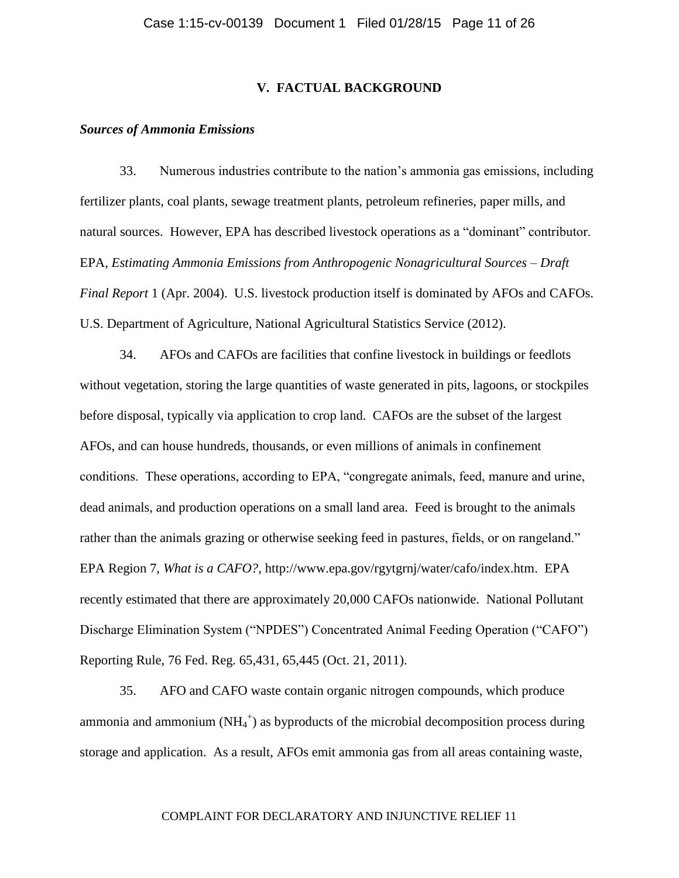# **V. FACTUAL BACKGROUND**

### *Sources of Ammonia Emissions*

33. Numerous industries contribute to the nation's ammonia gas emissions, including fertilizer plants, coal plants, sewage treatment plants, petroleum refineries, paper mills, and natural sources. However, EPA has described livestock operations as a "dominant" contributor. EPA, *Estimating Ammonia Emissions from Anthropogenic Nonagricultural Sources – Draft Final Report* 1 (Apr. 2004). U.S. livestock production itself is dominated by AFOs and CAFOs. U.S. Department of Agriculture, National Agricultural Statistics Service (2012).

34. AFOs and CAFOs are facilities that confine livestock in buildings or feedlots without vegetation, storing the large quantities of waste generated in pits, lagoons, or stockpiles before disposal, typically via application to crop land. CAFOs are the subset of the largest AFOs, and can house hundreds, thousands, or even millions of animals in confinement conditions. These operations, according to EPA, "congregate animals, feed, manure and urine, dead animals, and production operations on a small land area. Feed is brought to the animals rather than the animals grazing or otherwise seeking feed in pastures, fields, or on rangeland." EPA Region 7, *What is a CAFO?*, [http://www.epa.gov/rgytgrnj/water/cafo/index.htm.](http://www.epa.gov/rgytgrnj/water/cafo/index.htm) EPA recently estimated that there are approximately 20,000 CAFOs nationwide. National Pollutant Discharge Elimination System ("NPDES") Concentrated Animal Feeding Operation ("CAFO") Reporting Rule, 76 Fed. Reg. 65,431, 65,445 (Oct. 21, 2011).

35. AFO and CAFO waste contain organic nitrogen compounds, which produce ammonia and ammonium  $(NH_4^+)$  as byproducts of the microbial decomposition process during storage and application. As a result, AFOs emit ammonia gas from all areas containing waste,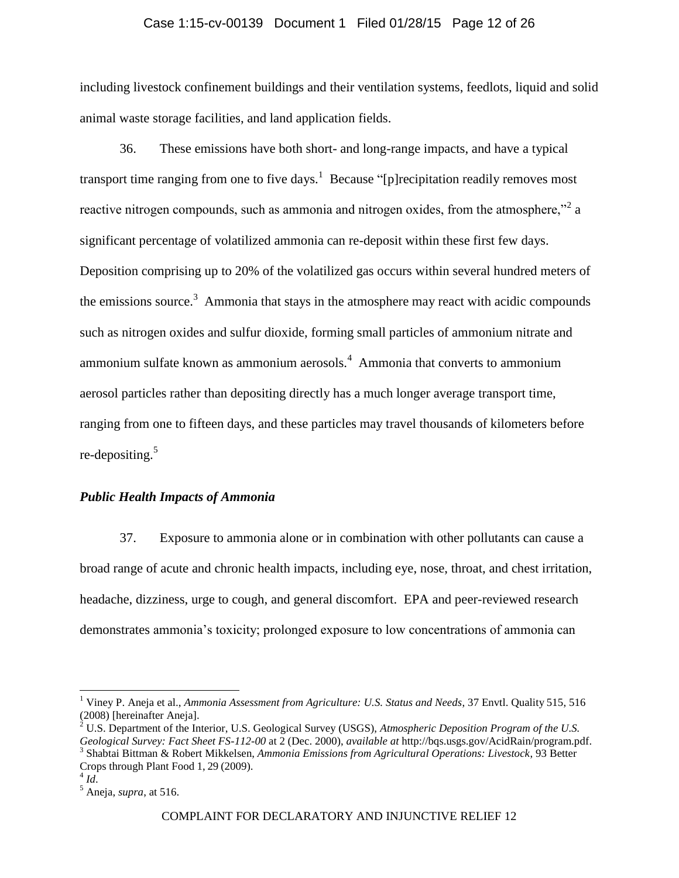# Case 1:15-cv-00139 Document 1 Filed 01/28/15 Page 12 of 26

including livestock confinement buildings and their ventilation systems, feedlots, liquid and solid animal waste storage facilities, and land application fields.

36. These emissions have both short- and long-range impacts, and have a typical transport time ranging from one to five days.<sup>1</sup> Because "[p] recipitation readily removes most reactive nitrogen compounds, such as ammonia and nitrogen oxides, from the atmosphere,"<sup>2</sup> a significant percentage of volatilized ammonia can re-deposit within these first few days. Deposition comprising up to 20% of the volatilized gas occurs within several hundred meters of the emissions source.<sup>3</sup> Ammonia that stays in the atmosphere may react with acidic compounds such as nitrogen oxides and sulfur dioxide, forming small particles of ammonium nitrate and ammonium sulfate known as ammonium aerosols.<sup>4</sup> Ammonia that converts to ammonium aerosol particles rather than depositing directly has a much longer average transport time, ranging from one to fifteen days, and these particles may travel thousands of kilometers before re-depositing.<sup>5</sup>

# *Public Health Impacts of Ammonia*

37. Exposure to ammonia alone or in combination with other pollutants can cause a broad range of acute and chronic health impacts, including eye, nose, throat, and chest irritation, headache, dizziness, urge to cough, and general discomfort. EPA and peer-reviewed research demonstrates ammonia's toxicity; prolonged exposure to low concentrations of ammonia can

 $\overline{a}$ 

<sup>1</sup> Viney P. Aneja et al., *Ammonia Assessment from Agriculture: U.S. Status and Needs*, 37 Envtl. Quality 515, 516 (2008) [hereinafter Aneja].

<sup>2</sup> U.S. Department of the Interior, U.S. Geological Survey (USGS), *Atmospheric Deposition Program of the U.S. Geological Survey: Fact Sheet FS-112-00* at 2 (Dec. 2000), *available at* http://bqs.usgs.gov/AcidRain/program.pdf. 3 Shabtai Bittman & Robert Mikkelsen, *Ammonia Emissions from Agricultural Operations: Livestock*, 93 Better Crops through Plant Food 1, 29 (2009).

<sup>4</sup> *Id*.

 $<sup>5</sup>$  Aneja, *supra*, at 516.</sup>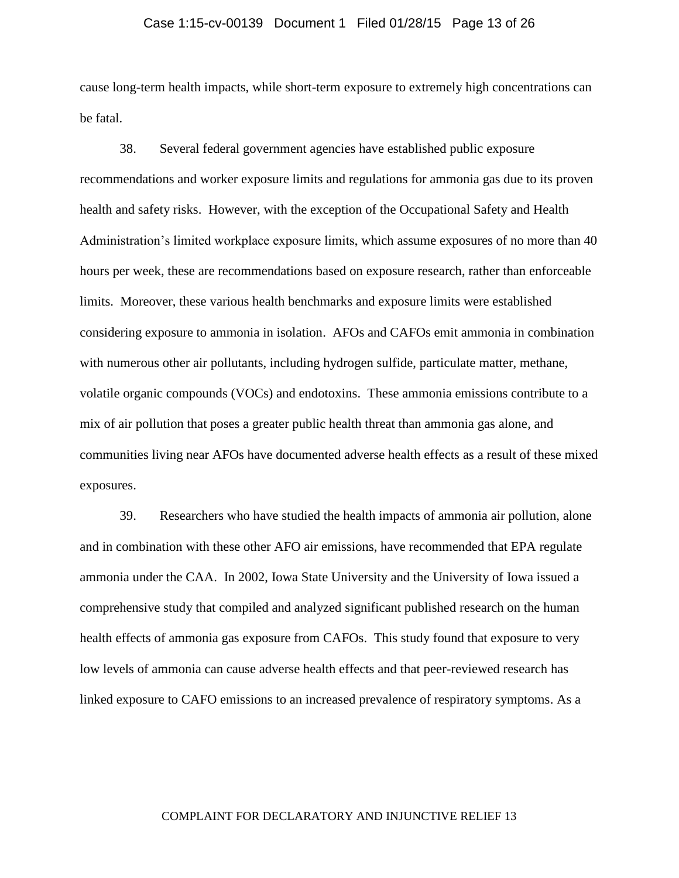# Case 1:15-cv-00139 Document 1 Filed 01/28/15 Page 13 of 26

cause long-term health impacts, while short-term exposure to extremely high concentrations can be fatal.

38. Several federal government agencies have established public exposure recommendations and worker exposure limits and regulations for ammonia gas due to its proven health and safety risks. However, with the exception of the Occupational Safety and Health Administration's limited workplace exposure limits, which assume exposures of no more than 40 hours per week, these are recommendations based on exposure research, rather than enforceable limits. Moreover, these various health benchmarks and exposure limits were established considering exposure to ammonia in isolation. AFOs and CAFOs emit ammonia in combination with numerous other air pollutants, including hydrogen sulfide, particulate matter, methane, volatile organic compounds (VOCs) and endotoxins. These ammonia emissions contribute to a mix of air pollution that poses a greater public health threat than ammonia gas alone, and communities living near AFOs have documented adverse health effects as a result of these mixed exposures.

39. Researchers who have studied the health impacts of ammonia air pollution, alone and in combination with these other AFO air emissions, have recommended that EPA regulate ammonia under the CAA. In 2002, Iowa State University and the University of Iowa issued a comprehensive study that compiled and analyzed significant published research on the human health effects of ammonia gas exposure from CAFOs. This study found that exposure to very low levels of ammonia can cause adverse health effects and that peer-reviewed research has linked exposure to CAFO emissions to an increased prevalence of respiratory symptoms. As a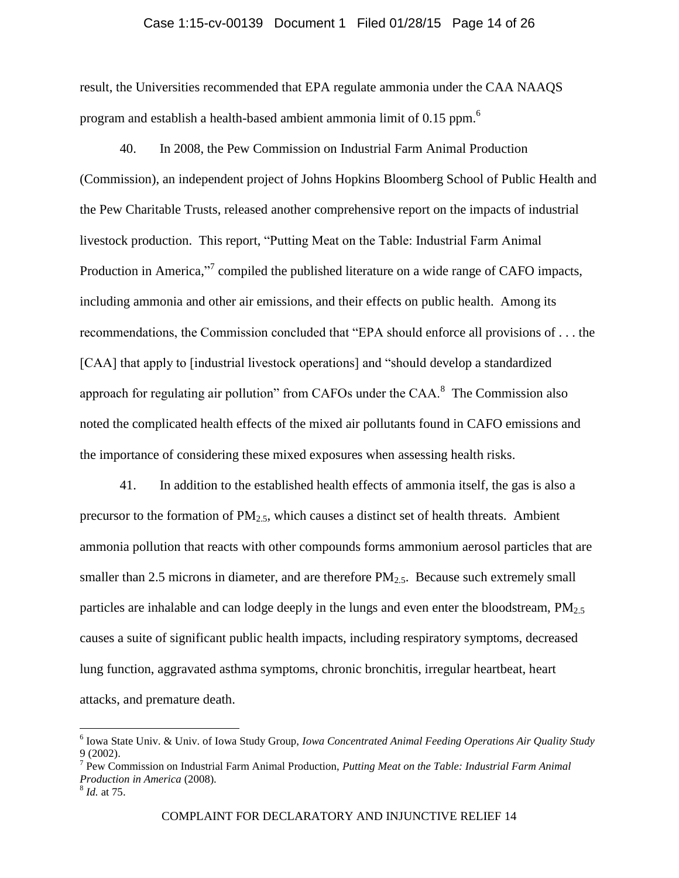# Case 1:15-cv-00139 Document 1 Filed 01/28/15 Page 14 of 26

result, the Universities recommended that EPA regulate ammonia under the CAA NAAQS program and establish a health-based ambient ammonia limit of 0.15 ppm.<sup>6</sup>

40. In 2008, the Pew Commission on Industrial Farm Animal Production (Commission), an independent project of Johns Hopkins Bloomberg School of Public Health and the Pew Charitable Trusts, released another comprehensive report on the impacts of industrial livestock production. This report, "Putting Meat on the Table: Industrial Farm Animal Production in America,"<sup>7</sup> compiled the published literature on a wide range of CAFO impacts, including ammonia and other air emissions, and their effects on public health. Among its recommendations, the Commission concluded that "EPA should enforce all provisions of . . . the [CAA] that apply to [industrial livestock operations] and "should develop a standardized approach for regulating air pollution" from CAFOs under the CAA. $^8$  The Commission also noted the complicated health effects of the mixed air pollutants found in CAFO emissions and the importance of considering these mixed exposures when assessing health risks.

41. In addition to the established health effects of ammonia itself, the gas is also a precursor to the formation of  $PM_{2.5}$ , which causes a distinct set of health threats. Ambient ammonia pollution that reacts with other compounds forms ammonium aerosol particles that are smaller than 2.5 microns in diameter, and are therefore  $PM_{2.5}$ . Because such extremely small particles are inhalable and can lodge deeply in the lungs and even enter the bloodstream,  $PM_{2.5}$ causes a suite of significant public health impacts, including respiratory symptoms, decreased lung function, aggravated asthma symptoms, chronic bronchitis, irregular heartbeat, heart attacks, and premature death.

 $\overline{a}$ 

<sup>6</sup> Iowa State Univ. & Univ. of Iowa Study Group, *Iowa Concentrated Animal Feeding Operations Air Quality Study* 9 (2002).

<sup>7</sup> Pew Commission on Industrial Farm Animal Production, *Putting Meat on the Table: Industrial Farm Animal Production in America* (2008).

<sup>8</sup> *Id.* at 75.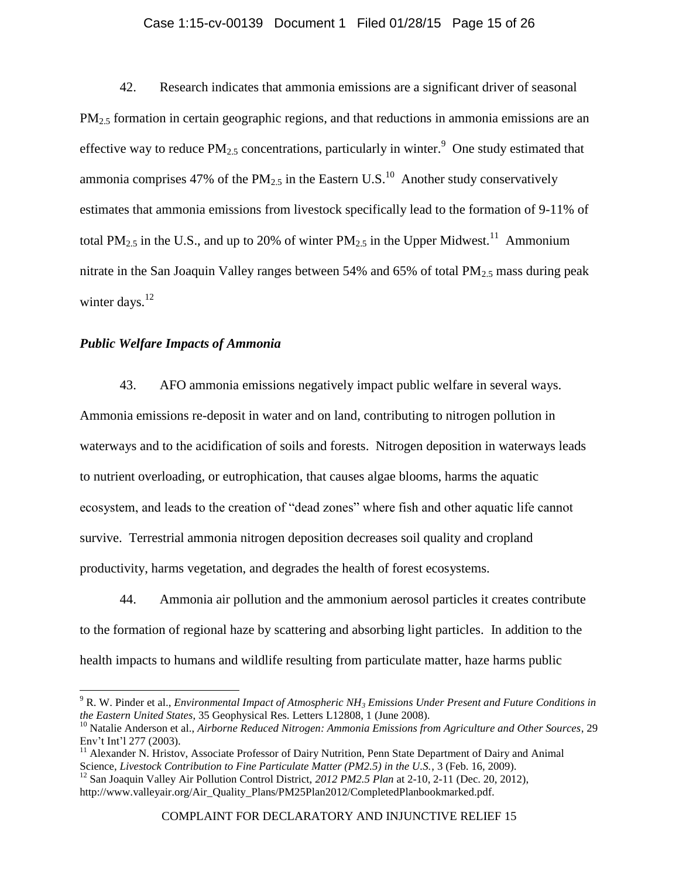# Case 1:15-cv-00139 Document 1 Filed 01/28/15 Page 15 of 26

42. Research indicates that ammonia emissions are a significant driver of seasonal  $PM<sub>2</sub>$ , formation in certain geographic regions, and that reductions in ammonia emissions are an effective way to reduce  $PM_{2.5}$  concentrations, particularly in winter.<sup>9</sup> One study estimated that ammonia comprises 47% of the PM<sub>2.5</sub> in the Eastern U.S.<sup>10</sup> Another study conservatively estimates that ammonia emissions from livestock specifically lead to the formation of 9-11% of total PM<sub>2.5</sub> in the U.S., and up to 20% of winter PM<sub>2.5</sub> in the Upper Midwest.<sup>11</sup> Ammonium nitrate in the San Joaquin Valley ranges between 54% and 65% of total  $PM_2$ , mass during peak winter days. $^{12}$ 

# *Public Welfare Impacts of Ammonia*

 $\overline{a}$ 

43. AFO ammonia emissions negatively impact public welfare in several ways. Ammonia emissions re-deposit in water and on land, contributing to nitrogen pollution in waterways and to the acidification of soils and forests. Nitrogen deposition in waterways leads to nutrient overloading, or eutrophication, that causes algae blooms, harms the aquatic ecosystem, and leads to the creation of "dead zones" where fish and other aquatic life cannot survive. Terrestrial ammonia nitrogen deposition decreases soil quality and cropland productivity, harms vegetation, and degrades the health of forest ecosystems.

44. Ammonia air pollution and the ammonium aerosol particles it creates contribute to the formation of regional haze by scattering and absorbing light particles. In addition to the health impacts to humans and wildlife resulting from particulate matter, haze harms public

<sup>9</sup> R. W. Pinder et al., *Environmental Impact of Atmospheric NH<sup>3</sup> Emissions Under Present and Future Conditions in the Eastern United States*, 35 Geophysical Res. Letters L12808, 1 (June 2008).

<sup>10</sup> Natalie Anderson et al., *Airborne Reduced Nitrogen: Ammonia Emissions from Agriculture and Other Sources*, 29 Env't Int'l 277 (2003).

 $11$  Alexander N. Hristov, Associate Professor of Dairy Nutrition, Penn State Department of Dairy and Animal Science, *Livestock Contribution to Fine Particulate Matter (PM2.5) in the U.S.*, 3 (Feb. 16, 2009).

<sup>&</sup>lt;sup>12</sup> San Joaquin Valley Air Pollution Control District, 2012 PM2.5 Plan at 2-10, 2-11 (Dec. 20, 2012), http://www.valleyair.org/Air\_Quality\_Plans/PM25Plan2012/CompletedPlanbookmarked.pdf.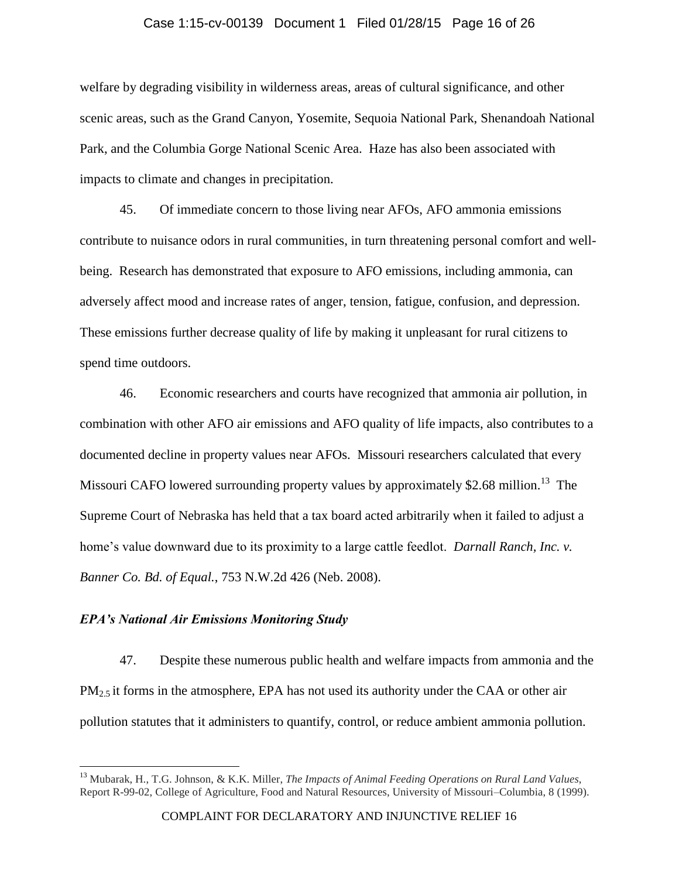# Case 1:15-cv-00139 Document 1 Filed 01/28/15 Page 16 of 26

welfare by degrading visibility in wilderness areas, areas of cultural significance, and other scenic areas, such as the Grand Canyon, Yosemite, Sequoia National Park, Shenandoah National Park, and the Columbia Gorge National Scenic Area. Haze has also been associated with impacts to climate and changes in precipitation.

45. Of immediate concern to those living near AFOs, AFO ammonia emissions contribute to nuisance odors in rural communities, in turn threatening personal comfort and wellbeing. Research has demonstrated that exposure to AFO emissions, including ammonia, can adversely affect mood and increase rates of anger, tension, fatigue, confusion, and depression. These emissions further decrease quality of life by making it unpleasant for rural citizens to spend time outdoors.

46. Economic researchers and courts have recognized that ammonia air pollution, in combination with other AFO air emissions and AFO quality of life impacts, also contributes to a documented decline in property values near AFOs. Missouri researchers calculated that every Missouri CAFO lowered surrounding property values by approximately \$2.68 million.<sup>13</sup> The Supreme Court of Nebraska has held that a tax board acted arbitrarily when it failed to adjust a home's value downward due to its proximity to a large cattle feedlot. *Darnall Ranch, Inc. v. Banner Co. Bd. of Equal.*, 753 N.W.2d 426 (Neb. 2008).

# *EPA's National Air Emissions Monitoring Study*

 $\overline{\phantom{a}}$ 

47. Despite these numerous public health and welfare impacts from ammonia and the  $PM<sub>2</sub>$ , it forms in the atmosphere, EPA has not used its authority under the CAA or other air pollution statutes that it administers to quantify, control, or reduce ambient ammonia pollution.

<sup>13</sup> Mubarak, H., T.G. Johnson, & K.K. Miller, *The Impacts of Animal Feeding Operations on Rural Land Values*, Report R-99-02, College of Agriculture, Food and Natural Resources, University of Missouri–Columbia, 8 (1999).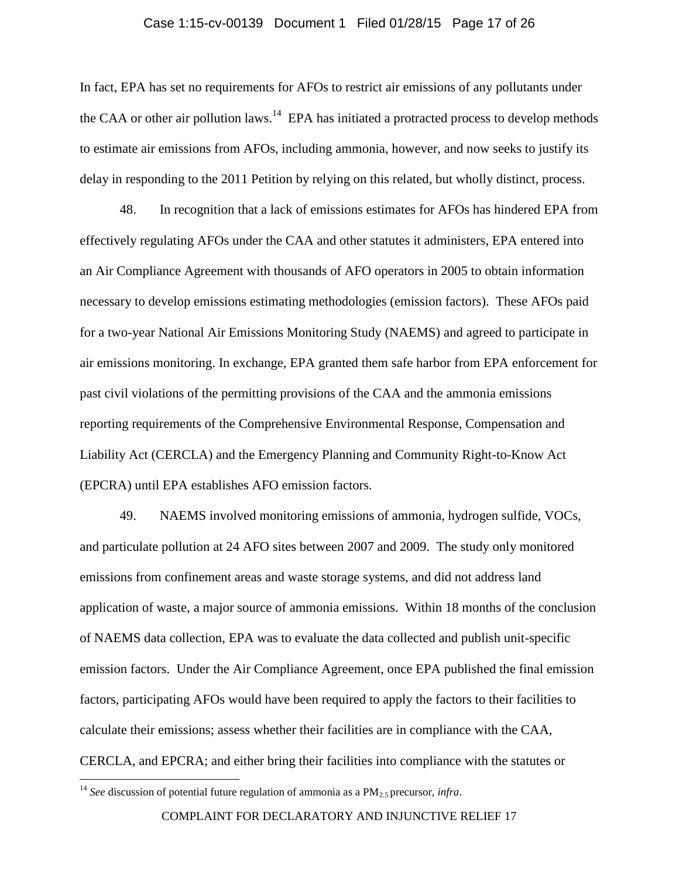## Case 1:15-cv-00139 Document 1 Filed 01/28/15 Page 17 of 26

In fact, EPA has set no requirements for AFOs to restrict air emissions of any pollutants under the CAA or other air pollution laws.<sup>14</sup> EPA has initiated a protracted process to develop methods to estimate air emissions from AFOs, including ammonia, however, and now seeks to justify its delay in responding to the 2011 Petition by relying on this related, but wholly distinct, process.

48. In recognition that a lack of emissions estimates for AFOs has hindered EPA from effectively regulating AFOs under the CAA and other statutes it administers, EPA entered into an Air Compliance Agreement with thousands of AFO operators in 2005 to obtain information necessary to develop emissions estimating methodologies (emission factors). These AFOs paid for a two-year National Air Emissions Monitoring Study (NAEMS) and agreed to participate in air emissions monitoring. In exchange, EPA granted them safe harbor from EPA enforcement for past civil violations of the permitting provisions of the CAA and the ammonia emissions reporting requirements of the Comprehensive Environmental Response, Compensation and Liability Act (CERCLA) and the Emergency Planning and Community Right-to-Know Act (EPCRA) until EPA establishes AFO emission factors.

49. NAEMS involved monitoring emissions of ammonia, hydrogen sulfide, VOCs, and particulate pollution at 24 AFO sites between 2007 and 2009. The study only monitored emissions from confinement areas and waste storage systems, and did not address land application of waste, a major source of ammonia emissions. Within 18 months of the conclusion of NAEMS data collection, EPA was to evaluate the data collected and publish unit-specific emission factors. Under the Air Compliance Agreement, once EPA published the final emission factors, participating AFOs would have been required to apply the factors to their facilities to calculate their emissions; assess whether their facilities are in compliance with the CAA, CERCLA, and EPCRA; and either bring their facilities into compliance with the statutes or

 $\overline{\phantom{a}}$ 

<sup>&</sup>lt;sup>14</sup> *See* discussion of potential future regulation of ammonia as a PM<sub>2.5</sub> precursor, *infra*.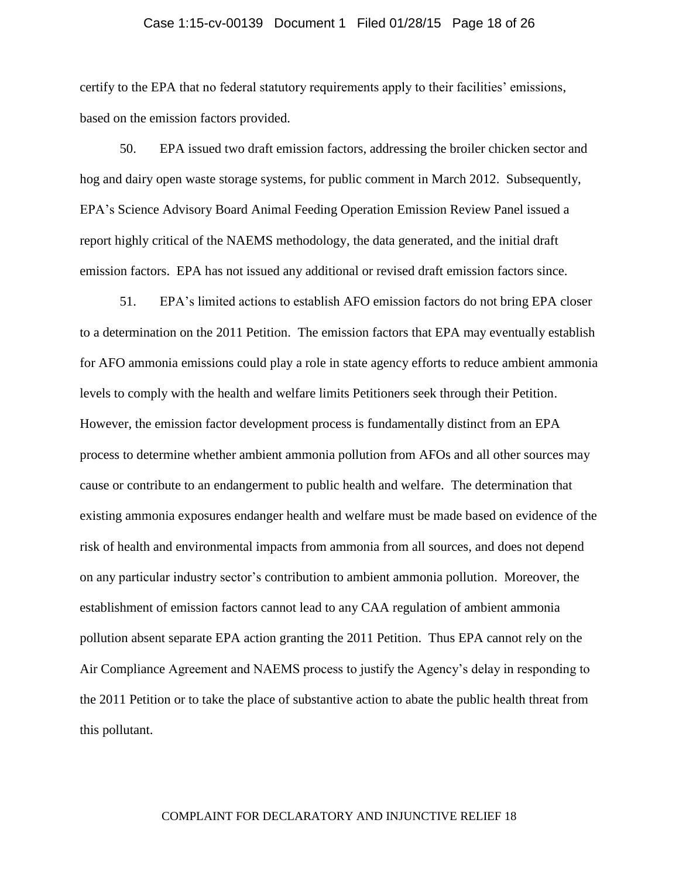# Case 1:15-cv-00139 Document 1 Filed 01/28/15 Page 18 of 26

certify to the EPA that no federal statutory requirements apply to their facilities' emissions, based on the emission factors provided.

50. EPA issued two draft emission factors, addressing the broiler chicken sector and hog and dairy open waste storage systems, for public comment in March 2012. Subsequently, EPA's Science Advisory Board Animal Feeding Operation Emission Review Panel issued a report highly critical of the NAEMS methodology, the data generated, and the initial draft emission factors. EPA has not issued any additional or revised draft emission factors since.

51. EPA's limited actions to establish AFO emission factors do not bring EPA closer to a determination on the 2011 Petition. The emission factors that EPA may eventually establish for AFO ammonia emissions could play a role in state agency efforts to reduce ambient ammonia levels to comply with the health and welfare limits Petitioners seek through their Petition. However, the emission factor development process is fundamentally distinct from an EPA process to determine whether ambient ammonia pollution from AFOs and all other sources may cause or contribute to an endangerment to public health and welfare. The determination that existing ammonia exposures endanger health and welfare must be made based on evidence of the risk of health and environmental impacts from ammonia from all sources, and does not depend on any particular industry sector's contribution to ambient ammonia pollution. Moreover, the establishment of emission factors cannot lead to any CAA regulation of ambient ammonia pollution absent separate EPA action granting the 2011 Petition. Thus EPA cannot rely on the Air Compliance Agreement and NAEMS process to justify the Agency's delay in responding to the 2011 Petition or to take the place of substantive action to abate the public health threat from this pollutant.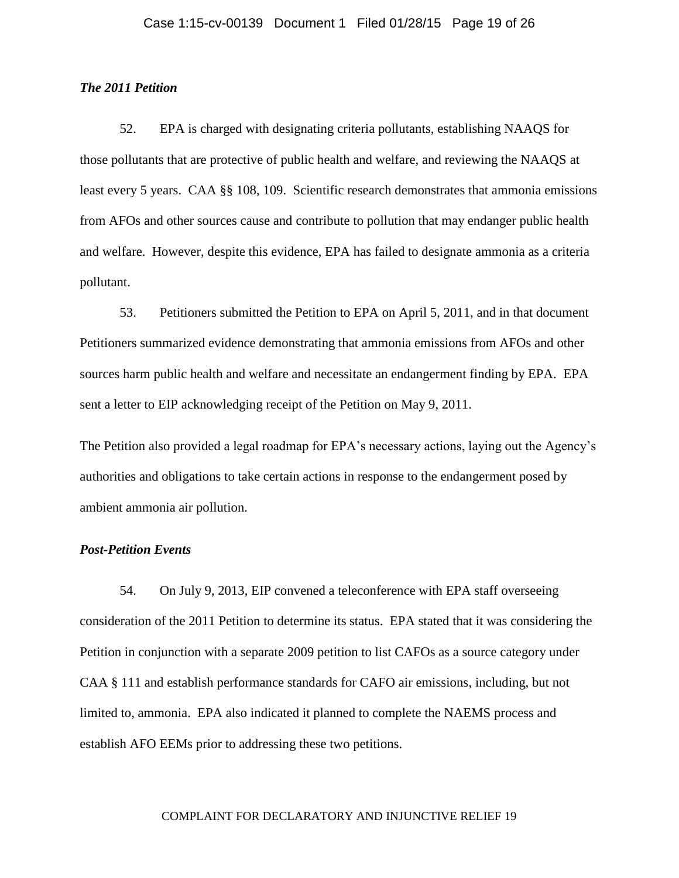# *The 2011 Petition*

52. EPA is charged with designating criteria pollutants, establishing NAAQS for those pollutants that are protective of public health and welfare, and reviewing the NAAQS at least every 5 years. CAA §§ 108, 109. Scientific research demonstrates that ammonia emissions from AFOs and other sources cause and contribute to pollution that may endanger public health and welfare. However, despite this evidence, EPA has failed to designate ammonia as a criteria pollutant.

53. Petitioners submitted the Petition to EPA on April 5, 2011, and in that document Petitioners summarized evidence demonstrating that ammonia emissions from AFOs and other sources harm public health and welfare and necessitate an endangerment finding by EPA. EPA sent a letter to EIP acknowledging receipt of the Petition on May 9, 2011.

The Petition also provided a legal roadmap for EPA's necessary actions, laying out the Agency's authorities and obligations to take certain actions in response to the endangerment posed by ambient ammonia air pollution.

# *Post-Petition Events*

54. On July 9, 2013, EIP convened a teleconference with EPA staff overseeing consideration of the 2011 Petition to determine its status. EPA stated that it was considering the Petition in conjunction with a separate 2009 petition to list CAFOs as a source category under CAA § 111 and establish performance standards for CAFO air emissions, including, but not limited to, ammonia. EPA also indicated it planned to complete the NAEMS process and establish AFO EEMs prior to addressing these two petitions.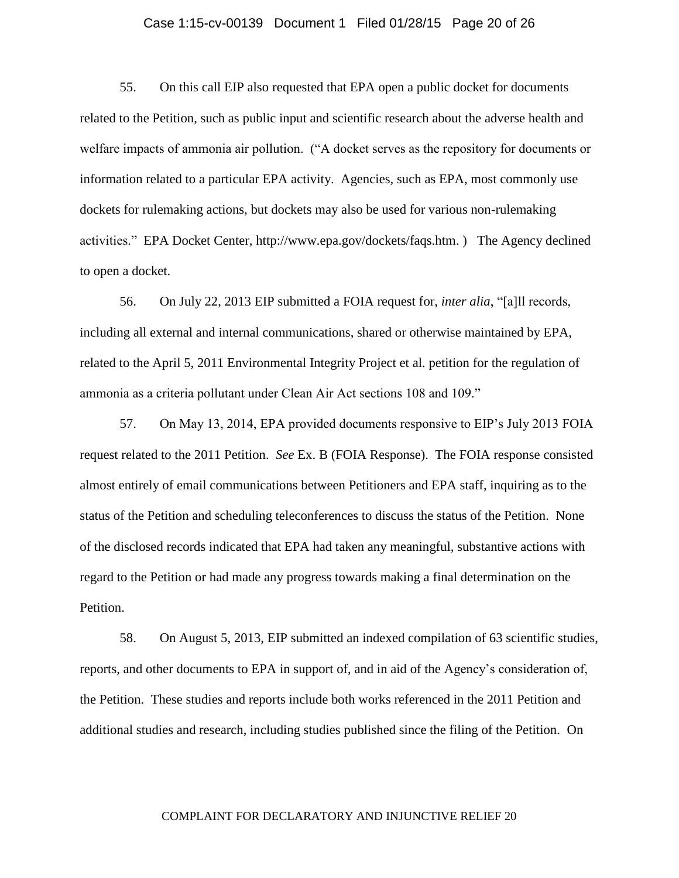## Case 1:15-cv-00139 Document 1 Filed 01/28/15 Page 20 of 26

55. On this call EIP also requested that EPA open a public docket for documents related to the Petition, such as public input and scientific research about the adverse health and welfare impacts of ammonia air pollution. ("A docket serves as the repository for documents or information related to a particular EPA activity. Agencies, such as EPA, most commonly use dockets for rulemaking actions, but dockets may also be used for various non-rulemaking activities." EPA Docket Center, [http://www.epa.gov/dockets/faqs.htm.](http://www.epa.gov/dockets/faqs.htm) ) The Agency declined to open a docket.

56. On July 22, 2013 EIP submitted a FOIA request for, *inter alia*, "[a]ll records, including all external and internal communications, shared or otherwise maintained by EPA, related to the April 5, 2011 Environmental Integrity Project et al. petition for the regulation of ammonia as a criteria pollutant under Clean Air Act sections 108 and 109."

57. On May 13, 2014, EPA provided documents responsive to EIP's July 2013 FOIA request related to the 2011 Petition. *See* Ex. B (FOIA Response). The FOIA response consisted almost entirely of email communications between Petitioners and EPA staff, inquiring as to the status of the Petition and scheduling teleconferences to discuss the status of the Petition. None of the disclosed records indicated that EPA had taken any meaningful, substantive actions with regard to the Petition or had made any progress towards making a final determination on the Petition.

58. On August 5, 2013, EIP submitted an indexed compilation of 63 scientific studies, reports, and other documents to EPA in support of, and in aid of the Agency's consideration of, the Petition. These studies and reports include both works referenced in the 2011 Petition and additional studies and research, including studies published since the filing of the Petition. On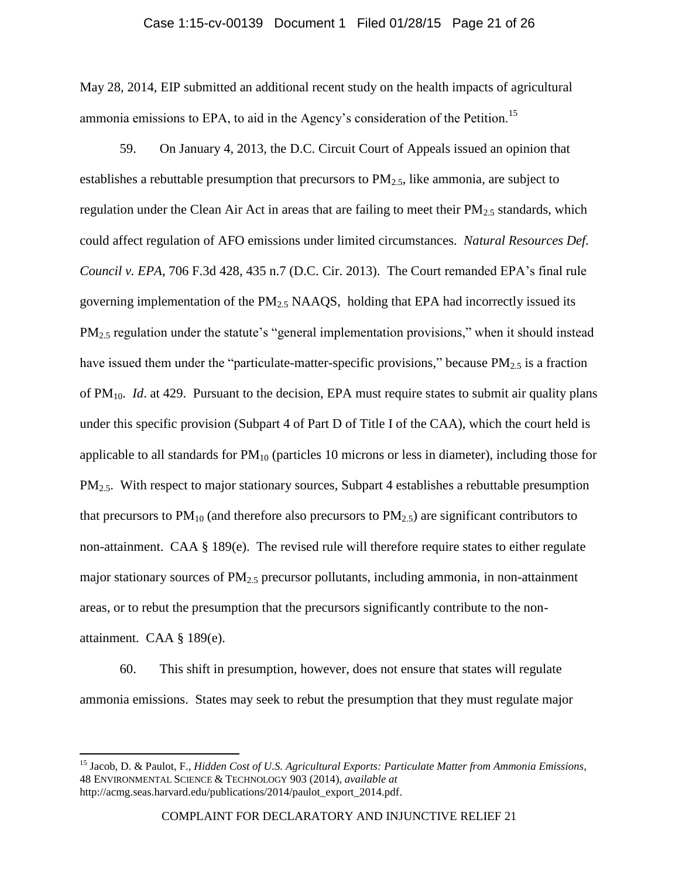# Case 1:15-cv-00139 Document 1 Filed 01/28/15 Page 21 of 26

May 28, 2014, EIP submitted an additional recent study on the health impacts of agricultural ammonia emissions to EPA, to aid in the Agency's consideration of the Petition.<sup>15</sup>

59. On January 4, 2013, the D.C. Circuit Court of Appeals issued an opinion that establishes a rebuttable presumption that precursors to  $PM_{2,5}$ , like ammonia, are subject to regulation under the Clean Air Act in areas that are failing to meet their  $PM_{2.5}$  standards, which could affect regulation of AFO emissions under limited circumstances. *Natural Resources Def. Council v. EPA*, 706 F.3d 428, 435 n.7 (D.C. Cir. 2013). The Court remanded EPA's final rule governing implementation of the  $PM<sub>2.5</sub> NAAQS$ , holding that EPA had incorrectly issued its PM2.5 regulation under the statute's "general implementation provisions," when it should instead have issued them under the "particulate-matter-specific provisions," because  $PM_{2.5}$  is a fraction of PM10. *Id*. at 429. Pursuant to the decision, EPA must require states to submit air quality plans under this specific provision (Subpart 4 of Part D of Title I of the CAA), which the court held is applicable to all standards for  $PM_{10}$  (particles 10 microns or less in diameter), including those for  $PM<sub>2.5</sub>$ . With respect to major stationary sources, Subpart 4 establishes a rebuttable presumption that precursors to  $PM_{10}$  (and therefore also precursors to  $PM_{2.5}$ ) are significant contributors to non-attainment. CAA § 189(e). The revised rule will therefore require states to either regulate major stationary sources of  $PM_{2.5}$  precursor pollutants, including ammonia, in non-attainment areas, or to rebut the presumption that the precursors significantly contribute to the nonattainment. CAA § 189(e).

60. This shift in presumption, however, does not ensure that states will regulate ammonia emissions. States may seek to rebut the presumption that they must regulate major

 $\overline{\phantom{a}}$ 

<sup>15</sup> Jacob, D. & Paulot, F., *Hidden Cost of U.S. Agricultural Exports: Particulate Matter from Ammonia Emissions*, 48 ENVIRONMENTAL SCIENCE & TECHNOLOGY 903 (2014), *available at* http://acmg.seas.harvard.edu/publications/2014/paulot\_export\_2014.pdf.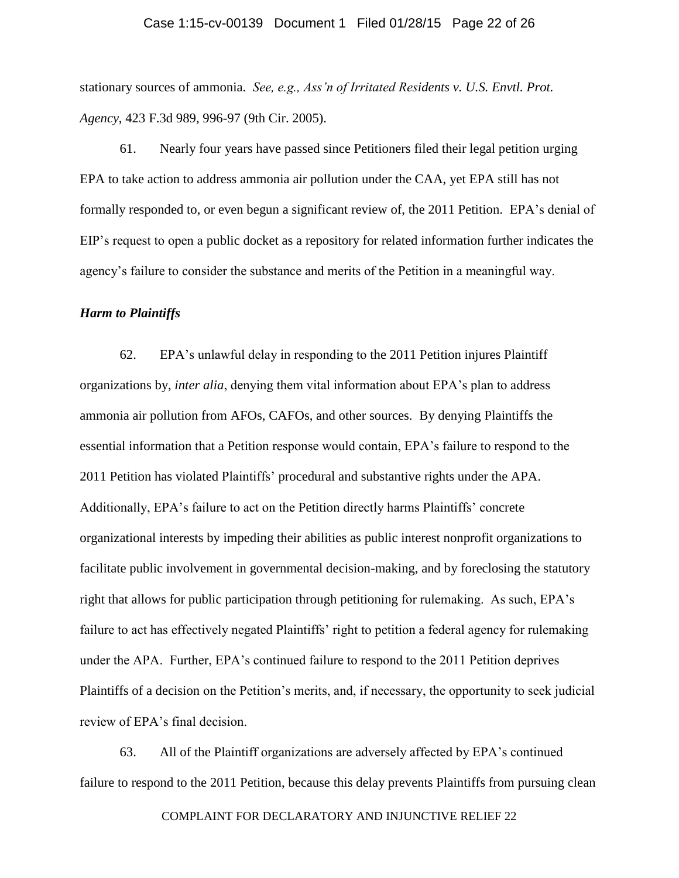## Case 1:15-cv-00139 Document 1 Filed 01/28/15 Page 22 of 26

stationary sources of ammonia. *See, e.g., Ass'n of Irritated Residents v. U.S. Envtl. Prot. Agency*, 423 F.3d 989, 996-97 (9th Cir. 2005).

61. Nearly four years have passed since Petitioners filed their legal petition urging EPA to take action to address ammonia air pollution under the CAA, yet EPA still has not formally responded to, or even begun a significant review of, the 2011 Petition. EPA's denial of EIP's request to open a public docket as a repository for related information further indicates the agency's failure to consider the substance and merits of the Petition in a meaningful way.

### *Harm to Plaintiffs*

62. EPA's unlawful delay in responding to the 2011 Petition injures Plaintiff organizations by, *inter alia*, denying them vital information about EPA's plan to address ammonia air pollution from AFOs, CAFOs, and other sources. By denying Plaintiffs the essential information that a Petition response would contain, EPA's failure to respond to the 2011 Petition has violated Plaintiffs' procedural and substantive rights under the APA. Additionally, EPA's failure to act on the Petition directly harms Plaintiffs' concrete organizational interests by impeding their abilities as public interest nonprofit organizations to facilitate public involvement in governmental decision-making, and by foreclosing the statutory right that allows for public participation through petitioning for rulemaking. As such, EPA's failure to act has effectively negated Plaintiffs' right to petition a federal agency for rulemaking under the APA. Further, EPA's continued failure to respond to the 2011 Petition deprives Plaintiffs of a decision on the Petition's merits, and, if necessary, the opportunity to seek judicial review of EPA's final decision.

63. All of the Plaintiff organizations are adversely affected by EPA's continued failure to respond to the 2011 Petition, because this delay prevents Plaintiffs from pursuing clean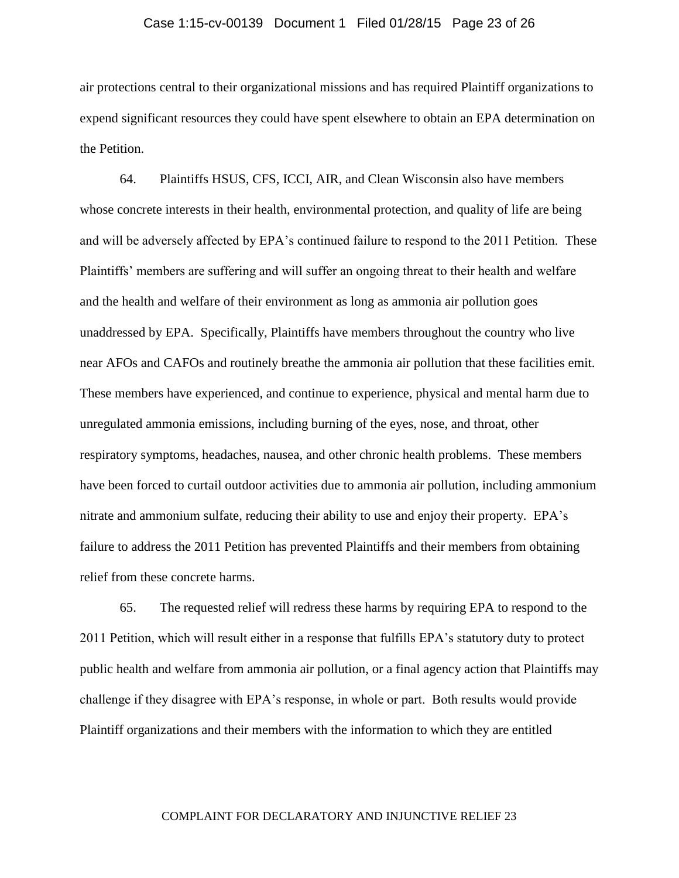## Case 1:15-cv-00139 Document 1 Filed 01/28/15 Page 23 of 26

air protections central to their organizational missions and has required Plaintiff organizations to expend significant resources they could have spent elsewhere to obtain an EPA determination on the Petition.

64. Plaintiffs HSUS, CFS, ICCI, AIR, and Clean Wisconsin also have members whose concrete interests in their health, environmental protection, and quality of life are being and will be adversely affected by EPA's continued failure to respond to the 2011 Petition. These Plaintiffs' members are suffering and will suffer an ongoing threat to their health and welfare and the health and welfare of their environment as long as ammonia air pollution goes unaddressed by EPA. Specifically, Plaintiffs have members throughout the country who live near AFOs and CAFOs and routinely breathe the ammonia air pollution that these facilities emit. These members have experienced, and continue to experience, physical and mental harm due to unregulated ammonia emissions, including burning of the eyes, nose, and throat, other respiratory symptoms, headaches, nausea, and other chronic health problems. These members have been forced to curtail outdoor activities due to ammonia air pollution, including ammonium nitrate and ammonium sulfate, reducing their ability to use and enjoy their property. EPA's failure to address the 2011 Petition has prevented Plaintiffs and their members from obtaining relief from these concrete harms.

65. The requested relief will redress these harms by requiring EPA to respond to the 2011 Petition, which will result either in a response that fulfills EPA's statutory duty to protect public health and welfare from ammonia air pollution, or a final agency action that Plaintiffs may challenge if they disagree with EPA's response, in whole or part. Both results would provide Plaintiff organizations and their members with the information to which they are entitled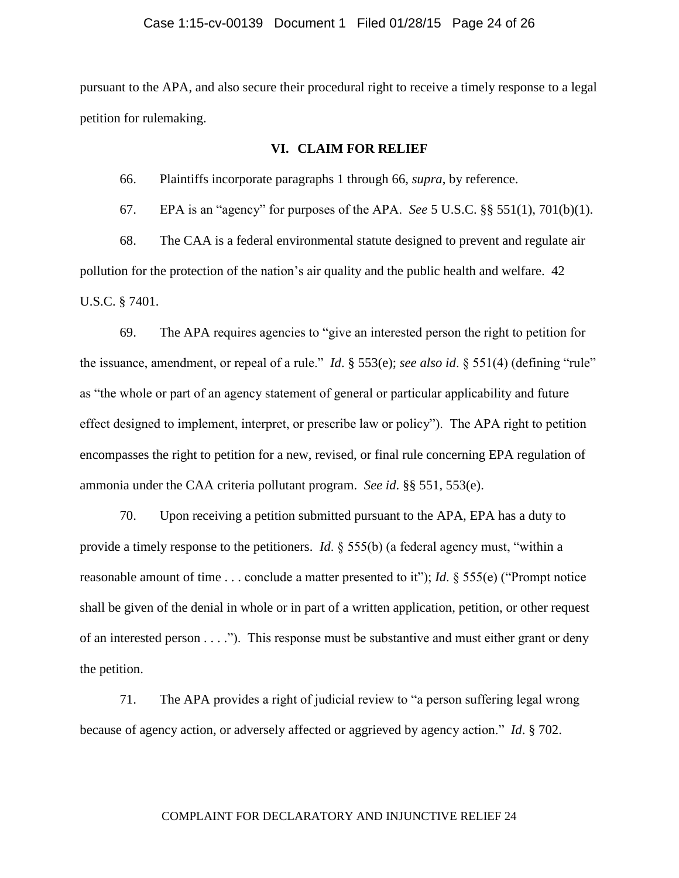pursuant to the APA, and also secure their procedural right to receive a timely response to a legal petition for rulemaking.

# **VI. CLAIM FOR RELIEF**

66. Plaintiffs incorporate paragraphs 1 through 66, *supra*, by reference.

67. EPA is an "agency" for purposes of the APA. *See* 5 U.S.C. §§ 551(1), 701(b)(1).

68. The CAA is a federal environmental statute designed to prevent and regulate air pollution for the protection of the nation's air quality and the public health and welfare. 42 U.S.C. § 7401.

69. The APA requires agencies to "give an interested person the right to petition for the issuance, amendment, or repeal of a rule." *Id*. § 553(e); *see also id*. § 551(4) (defining "rule" as "the whole or part of an agency statement of general or particular applicability and future effect designed to implement, interpret, or prescribe law or policy"). The APA right to petition encompasses the right to petition for a new, revised, or final rule concerning EPA regulation of ammonia under the CAA criteria pollutant program. *See id*. §§ 551, 553(e).

70. Upon receiving a petition submitted pursuant to the APA, EPA has a duty to provide a timely response to the petitioners. *Id*. § 555(b) (a federal agency must, "within a reasonable amount of time . . . conclude a matter presented to it"); *Id*. § 555(e) ("Prompt notice shall be given of the denial in whole or in part of a written application, petition, or other request of an interested person . . . ."). This response must be substantive and must either grant or deny the petition.

71. The APA provides a right of judicial review to "a person suffering legal wrong because of agency action, or adversely affected or aggrieved by agency action." *Id*. § 702.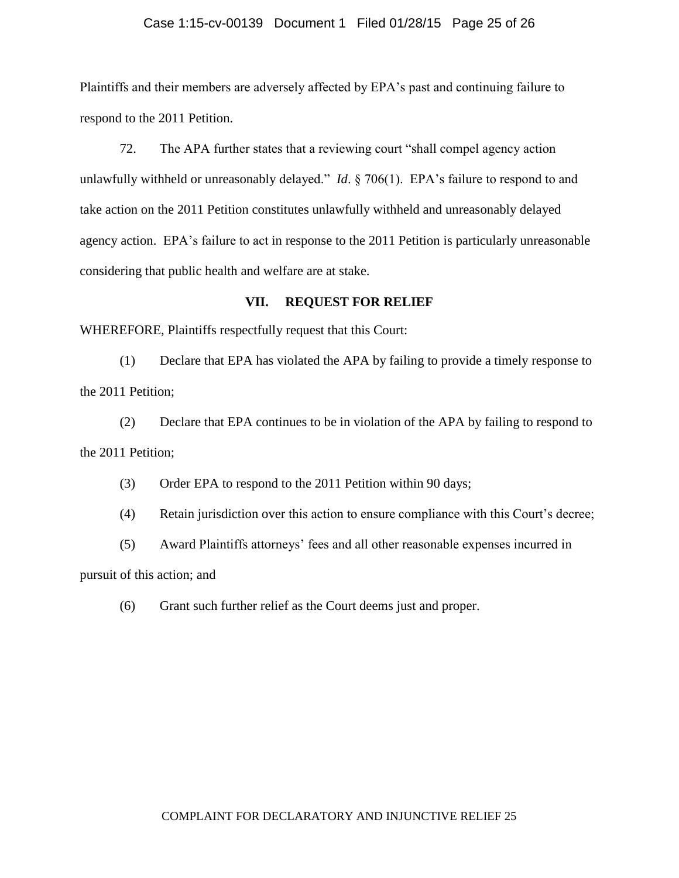## Case 1:15-cv-00139 Document 1 Filed 01/28/15 Page 25 of 26

Plaintiffs and their members are adversely affected by EPA's past and continuing failure to respond to the 2011 Petition.

72. The APA further states that a reviewing court "shall compel agency action unlawfully withheld or unreasonably delayed." *Id*. § 706(1). EPA's failure to respond to and take action on the 2011 Petition constitutes unlawfully withheld and unreasonably delayed agency action. EPA's failure to act in response to the 2011 Petition is particularly unreasonable considering that public health and welfare are at stake.

# **VII. REQUEST FOR RELIEF**

WHEREFORE, Plaintiffs respectfully request that this Court:

(1) Declare that EPA has violated the APA by failing to provide a timely response to the 2011 Petition;

(2) Declare that EPA continues to be in violation of the APA by failing to respond to the 2011 Petition;

(3) Order EPA to respond to the 2011 Petition within 90 days;

(4) Retain jurisdiction over this action to ensure compliance with this Court's decree;

(5) Award Plaintiffs attorneys' fees and all other reasonable expenses incurred in pursuit of this action; and

(6) Grant such further relief as the Court deems just and proper.